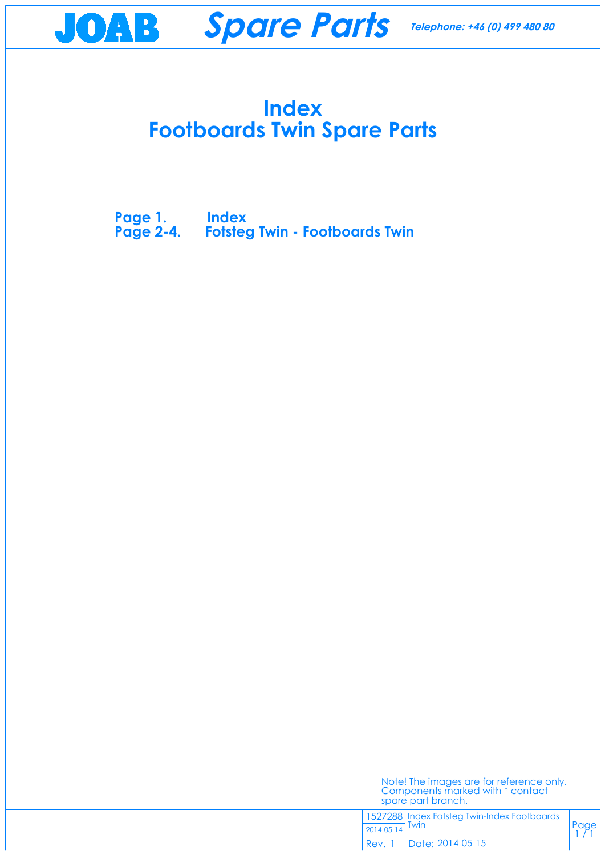## **Index Footboards Twin Spare Parts**

Page  $1/1$ 

**Page 1. Index [Page 2-4. Fotsteg Twin - Footboards Twin](#page-1-0)**



| Components marked with * contact | Note! The images are for reference only. |
|----------------------------------|------------------------------------------|
|                                  |                                          |
|                                  | spare part branch.                       |

1527288 Index Fotsteg Twin-Index Footboards Twin 2014-05-14

Date: 2014-05-15 Rev. 1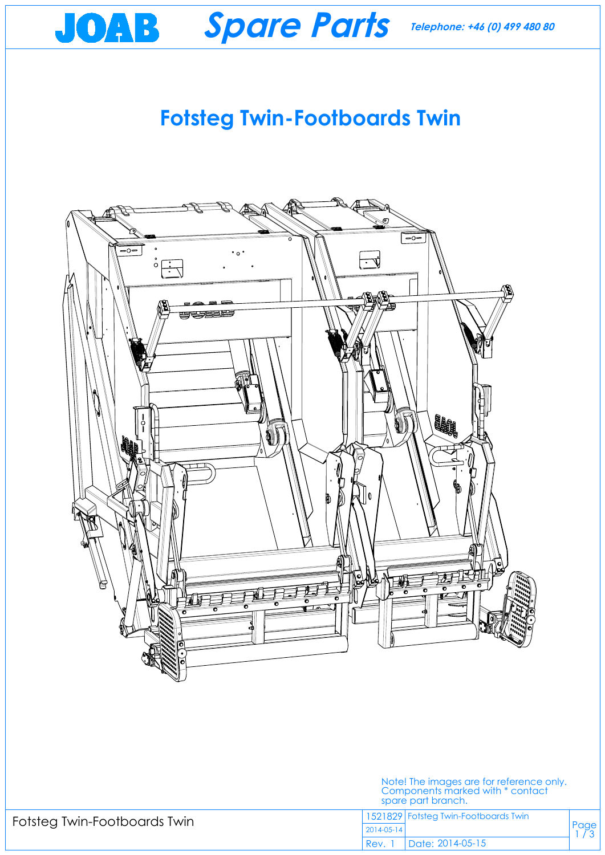# **Fotsteg Twin-Footboards Twin**



<span id="page-1-0"></span>



## Fotsteg Twin-Footboards Twin

#### Note! The images are for reference only. Components marked with \* contact spare part branch.

### 1521829 Fotsteg Twin-Footboards Twin

2014-05-14

Date: 2014-05-15 Rev.  $1$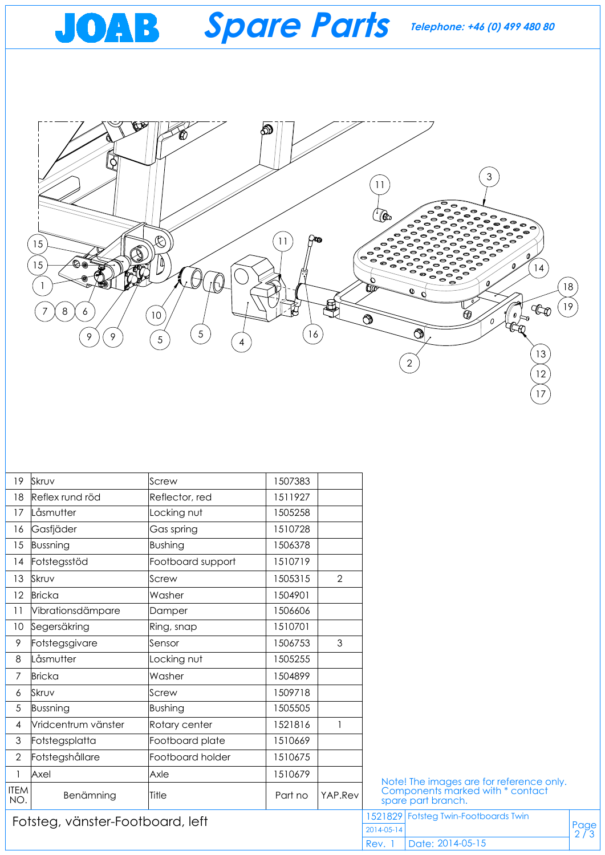

| 19                               | Skruv               | Screw             | 1507383 |         |                    |                                                                              |               |
|----------------------------------|---------------------|-------------------|---------|---------|--------------------|------------------------------------------------------------------------------|---------------|
| 18                               | Reflex rund röd     | Reflector, red    | 1511927 |         |                    |                                                                              |               |
| 17                               | Låsmutter           | Locking nut       | 1505258 |         |                    |                                                                              |               |
| 16                               | Gasfjäder           | Gas spring        | 1510728 |         |                    |                                                                              |               |
| 15                               | Bussning            | Bushing           | 1506378 |         |                    |                                                                              |               |
| 14                               | Fotstegsstöd        | Footboard support | 1510719 |         |                    |                                                                              |               |
| 13                               | Skruv               | Screw             | 1505315 | 2       |                    |                                                                              |               |
| 12 <sup>°</sup>                  | Bricka              | Washer            | 1504901 |         |                    |                                                                              |               |
|                                  | Vibrationsdämpare   | Damper            | 1506606 |         |                    |                                                                              |               |
| 10                               | Segersäkring        | Ring, snap        | 1510701 |         |                    |                                                                              |               |
| 9                                | Fotstegsgivare      | Sensor            | 1506753 | 3       |                    |                                                                              |               |
| 8                                | Låsmutter           | Locking nut       | 1505255 |         |                    |                                                                              |               |
| $\overline{7}$                   | Bricka              | Washer            | 1504899 |         |                    |                                                                              |               |
| 6                                | Skruv               | Screw             | 1509718 |         |                    |                                                                              |               |
| 5                                | Bussning            | Bushing           | 1505505 |         |                    |                                                                              |               |
| 4                                | Vridcentrum vänster | Rotary center     | 1521816 |         |                    |                                                                              |               |
| 3                                | Fotstegsplatta      | Footboard plate   | 1510669 |         |                    |                                                                              |               |
| $\overline{2}$                   | Fotstegshållare     | Footboard holder  | 1510675 |         |                    |                                                                              |               |
|                                  | Axel                | Axle              | 1510679 |         |                    | Note! The images are for reference only.<br>Components marked with * contact |               |
| <b>ITEM</b><br>NO.               | Benämning           | Title             | Part no | YAP.Rev | spare part branch. |                                                                              |               |
| Fotsteg, vänster-Footboard, left |                     |                   |         |         |                    | 1521829 Fotsteg Twin-Footboards Twin                                         |               |
|                                  |                     |                   |         |         | 2014-05-14         |                                                                              | Page<br>$2/3$ |
|                                  |                     |                   |         |         | Rev. 1             | Date: 2014-05-15                                                             |               |